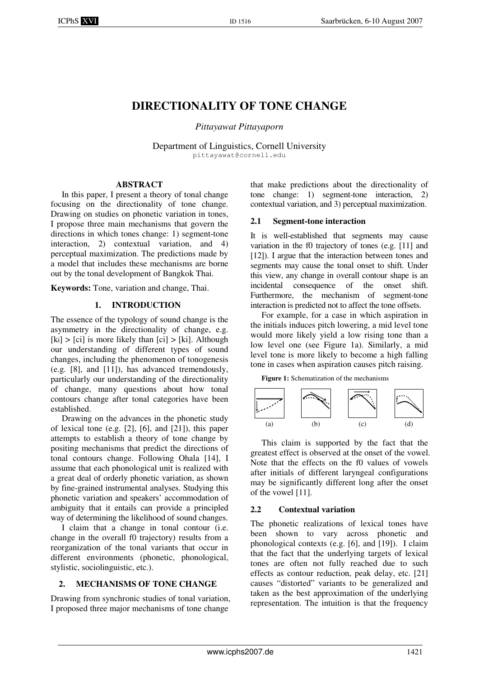# **DIRECTIONALITY OF TONE CHANGE**

*Pittayawat Pittayaporn* 

Department of Linguistics, Cornell University pittayawat@cornell.edu

#### **ABSTRACT**

In this paper, I present a theory of tonal change focusing on the directionality of tone change. Drawing on studies on phonetic variation in tones, I propose three main mechanisms that govern the directions in which tones change: 1) segment-tone interaction, 2) contextual variation, and 4) perceptual maximization. The predictions made by a model that includes these mechanisms are borne out by the tonal development of Bangkok Thai.

**Keywords:** Tone, variation and change, Thai.

### **1. INTRODUCTION**

The essence of the typology of sound change is the asymmetry in the directionality of change, e.g.  $[ki] > [ci]$  is more likely than  $[ci] > [ki]$ . Although our understanding of different types of sound changes, including the phenomenon of tonogenesis (e.g. [8], and [11]), has advanced tremendously, particularly our understanding of the directionality of change, many questions about how tonal contours change after tonal categories have been established.

Drawing on the advances in the phonetic study of lexical tone (e.g. [2], [6], and [21]), this paper attempts to establish a theory of tone change by positing mechanisms that predict the directions of tonal contours change. Following Ohala [14], I assume that each phonological unit is realized with a great deal of orderly phonetic variation, as shown by fine-grained instrumental analyses. Studying this phonetic variation and speakers' accommodation of ambiguity that it entails can provide a principled way of determining the likelihood of sound changes.

I claim that a change in tonal contour (i.e. change in the overall f0 trajectory) results from a reorganization of the tonal variants that occur in different environments (phonetic, phonological, stylistic, sociolinguistic, etc.).

# **2. MECHANISMS OF TONE CHANGE**

Drawing from synchronic studies of tonal variation, I proposed three major mechanisms of tone change

that make predictions about the directionality of tone change: 1) segment-tone interaction, 2) contextual variation, and 3) perceptual maximization.

#### **2.1 Segment-tone interaction**

It is well-established that segments may cause variation in the f0 trajectory of tones (e.g. [11] and [12]). I argue that the interaction between tones and segments may cause the tonal onset to shift. Under this view, any change in overall contour shape is an incidental consequence of the onset shift. Furthermore, the mechanism of segment-tone interaction is predicted not to affect the tone offsets.

For example, for a case in which aspiration in the initials induces pitch lowering, a mid level tone would more likely yield a low rising tone than a low level one (see Figure 1a). Similarly, a mid level tone is more likely to become a high falling tone in cases when aspiration causes pitch raising.

**Figure 1:** Schematization of the mechanisms



This claim is supported by the fact that the greatest effect is observed at the onset of the vowel. Note that the effects on the f0 values of vowels after initials of different laryngeal configurations may be significantly different long after the onset of the vowel [11].

#### **2.2 Contextual variation**

The phonetic realizations of lexical tones have been shown to vary across phonetic and phonological contexts (e.g. [6], and [19]). I claim that the fact that the underlying targets of lexical tones are often not fully reached due to such effects as contour reduction, peak delay, etc. [21] causes "distorted" variants to be generalized and taken as the best approximation of the underlying representation. The intuition is that the frequency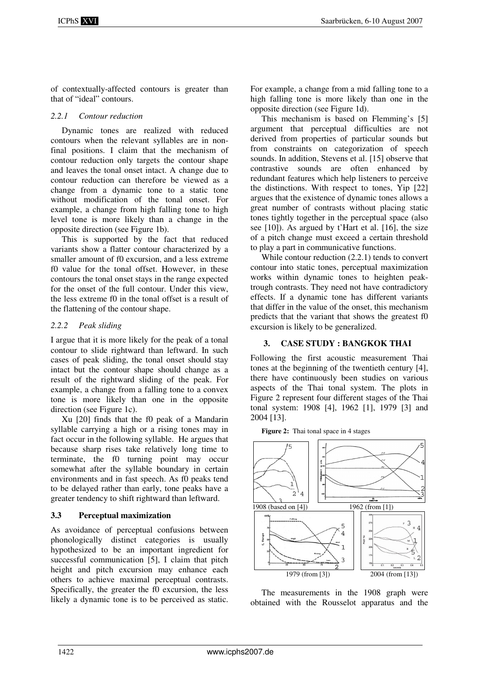of contextually-affected contours is greater than that of "ideal" contours.

#### *2.2.1 Contour reduction*

Dynamic tones are realized with reduced contours when the relevant syllables are in nonfinal positions. I claim that the mechanism of contour reduction only targets the contour shape and leaves the tonal onset intact. A change due to contour reduction can therefore be viewed as a change from a dynamic tone to a static tone without modification of the tonal onset. For example, a change from high falling tone to high level tone is more likely than a change in the opposite direction (see Figure 1b).

This is supported by the fact that reduced variants show a flatter contour characterized by a smaller amount of f0 excursion, and a less extreme f0 value for the tonal offset. However, in these contours the tonal onset stays in the range expected for the onset of the full contour. Under this view, the less extreme f0 in the tonal offset is a result of the flattening of the contour shape.

# *2.2.2 Peak sliding*

I argue that it is more likely for the peak of a tonal contour to slide rightward than leftward. In such cases of peak sliding, the tonal onset should stay intact but the contour shape should change as a result of the rightward sliding of the peak. For example, a change from a falling tone to a convex tone is more likely than one in the opposite direction (see Figure 1c).

Xu [20] finds that the f0 peak of a Mandarin syllable carrying a high or a rising tones may in fact occur in the following syllable. He argues that because sharp rises take relatively long time to terminate, the f0 turning point may occur somewhat after the syllable boundary in certain environments and in fast speech. As f0 peaks tend to be delayed rather than early, tone peaks have a greater tendency to shift rightward than leftward.

# **3.3 Perceptual maximization**

As avoidance of perceptual confusions between phonologically distinct categories is usually hypothesized to be an important ingredient for successful communication [5], I claim that pitch height and pitch excursion may enhance each others to achieve maximal perceptual contrasts. Specifically, the greater the f0 excursion, the less likely a dynamic tone is to be perceived as static. For example, a change from a mid falling tone to a high falling tone is more likely than one in the opposite direction (see Figure 1d).

This mechanism is based on Flemming's [5] argument that perceptual difficulties are not derived from properties of particular sounds but from constraints on categorization of speech sounds. In addition, Stevens et al. [15] observe that contrastive sounds are often enhanced by redundant features which help listeners to perceive the distinctions. With respect to tones, Yip [22] argues that the existence of dynamic tones allows a great number of contrasts without placing static tones tightly together in the perceptual space (also see [10]). As argued by t'Hart et al. [16], the size of a pitch change must exceed a certain threshold to play a part in communicative functions.

While contour reduction (2.2.1) tends to convert contour into static tones, perceptual maximization works within dynamic tones to heighten peaktrough contrasts. They need not have contradictory effects. If a dynamic tone has different variants that differ in the value of the onset, this mechanism predicts that the variant that shows the greatest f0 excursion is likely to be generalized.

# **3. CASE STUDY : BANGKOK THAI**

Following the first acoustic measurement Thai tones at the beginning of the twentieth century [4], there have continuously been studies on various aspects of the Thai tonal system. The plots in Figure 2 represent four different stages of the Thai tonal system: 1908 [4], 1962 [1], 1979 [3] and 2004 [13].

Figure 2: Thai tonal space in 4 stages



The measurements in the 1908 graph were obtained with the Rousselot apparatus and the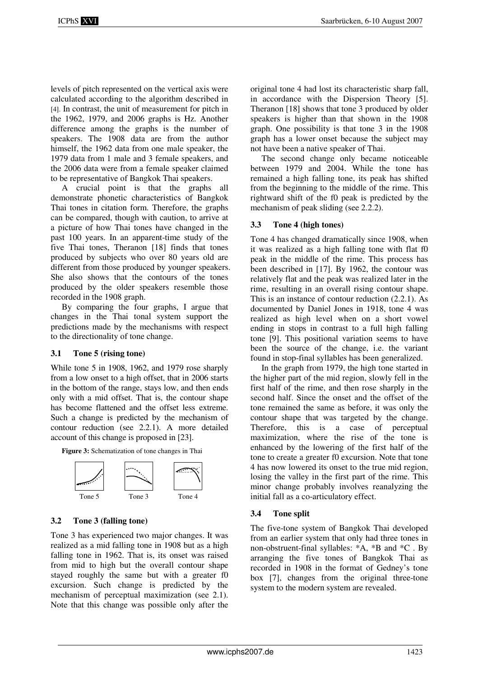levels of pitch represented on the vertical axis were calculated according to the algorithm described in [4]. In contrast, the unit of measurement for pitch in the 1962, 1979, and 2006 graphs is Hz. Another difference among the graphs is the number of speakers. The 1908 data are from the author himself, the 1962 data from one male speaker, the 1979 data from 1 male and 3 female speakers, and the 2006 data were from a female speaker claimed to be representative of Bangkok Thai speakers.

A crucial point is that the graphs all demonstrate phonetic characteristics of Bangkok Thai tones in citation form. Therefore, the graphs can be compared, though with caution, to arrive at a picture of how Thai tones have changed in the past 100 years. In an apparent-time study of the five Thai tones, Theranon [18] finds that tones produced by subjects who over 80 years old are different from those produced by younger speakers. She also shows that the contours of the tones produced by the older speakers resemble those recorded in the 1908 graph.

By comparing the four graphs, I argue that changes in the Thai tonal system support the predictions made by the mechanisms with respect to the directionality of tone change.

#### **3.1 Tone 5 (rising tone)**

While tone 5 in 1908, 1962, and 1979 rose sharply from a low onset to a high offset, that in 2006 starts in the bottom of the range, stays low, and then ends only with a mid offset. That is, the contour shape has become flattened and the offset less extreme. Such a change is predicted by the mechanism of contour reduction (see 2.2.1). A more detailed account of this change is proposed in [23].

**Figure 3:** Schematization of tone changes in Thai



# **3.2 Tone 3 (falling tone)**

Tone 3 has experienced two major changes. It was realized as a mid falling tone in 1908 but as a high falling tone in 1962. That is, its onset was raised from mid to high but the overall contour shape stayed roughly the same but with a greater f0 excursion. Such change is predicted by the mechanism of perceptual maximization (see 2.1). Note that this change was possible only after the original tone 4 had lost its characteristic sharp fall, in accordance with the Dispersion Theory [5]. Theranon [18] shows that tone 3 produced by older speakers is higher than that shown in the 1908 graph. One possibility is that tone 3 in the 1908 graph has a lower onset because the subject may not have been a native speaker of Thai.

The second change only became noticeable between 1979 and 2004. While the tone has remained a high falling tone, its peak has shifted from the beginning to the middle of the rime. This rightward shift of the f0 peak is predicted by the mechanism of peak sliding (see 2.2.2).

# **3.3 Tone 4 (high tones)**

Tone 4 has changed dramatically since 1908, when it was realized as a high falling tone with flat f0 peak in the middle of the rime. This process has been described in [17]. By 1962, the contour was relatively flat and the peak was realized later in the rime, resulting in an overall rising contour shape. This is an instance of contour reduction (2.2.1). As documented by Daniel Jones in 1918, tone 4 was realized as high level when on a short vowel ending in stops in contrast to a full high falling tone [9]. This positional variation seems to have been the source of the change, i.e. the variant found in stop-final syllables has been generalized.

In the graph from 1979, the high tone started in the higher part of the mid region, slowly fell in the first half of the rime, and then rose sharply in the second half. Since the onset and the offset of the tone remained the same as before, it was only the contour shape that was targeted by the change. Therefore, this is a case of perceptual maximization, where the rise of the tone is enhanced by the lowering of the first half of the tone to create a greater f0 excursion. Note that tone 4 has now lowered its onset to the true mid region, losing the valley in the first part of the rime. This minor change probably involves reanalyzing the initial fall as a co-articulatory effect.

# **3.4 Tone split**

The five-tone system of Bangkok Thai developed from an earlier system that only had three tones in non-obstruent-final syllables: \*A, \*B and \*C . By arranging the five tones of Bangkok Thai as recorded in 1908 in the format of Gedney's tone box [7], changes from the original three-tone system to the modern system are revealed.